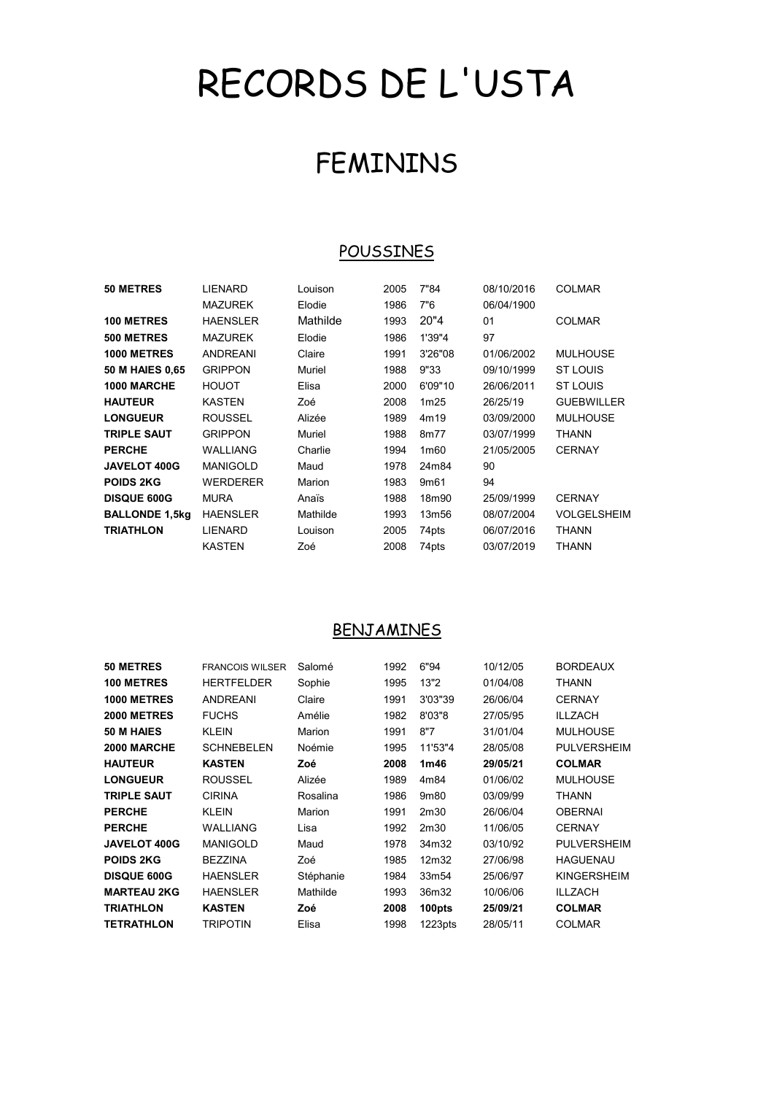# RECORDS DE L'USTA

# FEMININS

#### **POUSSINES**

| <b>50 METRES</b>      | LIENARD         | Louison  | 2005 | 7"84             | 08/10/2016 | <b>COLMAR</b>      |
|-----------------------|-----------------|----------|------|------------------|------------|--------------------|
|                       | <b>MAZUREK</b>  | Elodie   | 1986 | 7"6              | 06/04/1900 |                    |
| <b>100 METRES</b>     | <b>HAENSLER</b> | Mathilde | 1993 | 20"4             | 01         | <b>COLMAR</b>      |
| 500 METRES            | <b>MAZUREK</b>  | Elodie   | 1986 | 1'39"4           | 97         |                    |
| 1000 METRES           | ANDREANI        | Claire   | 1991 | 3'26"08          | 01/06/2002 | <b>MULHOUSE</b>    |
| 50 M HAIES 0,65       | <b>GRIPPON</b>  | Muriel   | 1988 | 9"33             | 09/10/1999 | ST LOUIS           |
| 1000 MARCHE           | <b>HOUOT</b>    | Elisa    | 2000 | 6'09"10          | 26/06/2011 | ST LOUIS           |
| <b>HAUTEUR</b>        | KASTEN          | Zoé      | 2008 | 1m25             | 26/25/19   | <b>GUEBWILLER</b>  |
| <b>LONGUEUR</b>       | <b>ROUSSEL</b>  | Alizée   | 1989 | 4m19             | 03/09/2000 | <b>MULHOUSE</b>    |
| <b>TRIPLE SAUT</b>    | <b>GRIPPON</b>  | Muriel   | 1988 | 8m77             | 03/07/1999 | <b>THANN</b>       |
| <b>PERCHE</b>         | WALLIANG        | Charlie  | 1994 | 1 <sub>m60</sub> | 21/05/2005 | <b>CERNAY</b>      |
| <b>JAVELOT 400G</b>   | <b>MANIGOLD</b> | Maud     | 1978 | 24m84            | 90         |                    |
| <b>POIDS 2KG</b>      | WERDERER        | Marion   | 1983 | 9m <sub>61</sub> | 94         |                    |
| <b>DISQUE 600G</b>    | MURA            | Anaïs    | 1988 | 18m90            | 25/09/1999 | <b>CERNAY</b>      |
| <b>BALLONDE 1,5kg</b> | <b>HAENSLER</b> | Mathilde | 1993 | 13m56            | 08/07/2004 | <b>VOLGELSHEIM</b> |
| <b>TRIATHLON</b>      | LIENARD         | Louison  | 2005 | 74pts            | 06/07/2016 | <b>THANN</b>       |
|                       | KASTEN          | Zoé      | 2008 | 74pts            | 03/07/2019 | <b>THANN</b>       |
|                       |                 |          |      |                  |            |                    |

#### **BENJAMINES**

| 50 METRES           | <b>FRANCOIS WILSER</b> | Salomé    | 1992 | 6"94                | 10/12/05 | <b>BORDEAUX</b>    |
|---------------------|------------------------|-----------|------|---------------------|----------|--------------------|
| <b>100 METRES</b>   | <b>HERTFELDER</b>      | Sophie    | 1995 | 13"2                | 01/04/08 | THANN              |
| 1000 METRES         | <b>ANDREANI</b>        | Claire    | 1991 | 3'03"39             | 26/06/04 | <b>CERNAY</b>      |
| <b>2000 METRES</b>  | <b>FUCHS</b>           | Amélie    | 1982 | 8'03"8              | 27/05/95 | ILLZACH            |
| 50 M HAIES          | <b>KLEIN</b>           | Marion    | 1991 | 8"7                 | 31/01/04 | <b>MULHOUSE</b>    |
| 2000 MARCHE         | <b>SCHNEBELEN</b>      | Noémie    | 1995 | 11'53"4             | 28/05/08 | <b>PULVERSHEIM</b> |
| <b>HAUTEUR</b>      | <b>KASTEN</b>          | Zoé       | 2008 | 1m46                | 29/05/21 | <b>COLMAR</b>      |
| <b>LONGUEUR</b>     | <b>ROUSSEL</b>         | Alizée    | 1989 | 4m84                | 01/06/02 | <b>MULHOUSE</b>    |
| <b>TRIPLE SAUT</b>  | <b>CIRINA</b>          | Rosalina  | 1986 | 9m80                | 03/09/99 | THANN              |
| <b>PERCHE</b>       | <b>KLEIN</b>           | Marion    | 1991 | 2m30                | 26/06/04 | <b>OBERNAI</b>     |
| <b>PERCHE</b>       | WALLIANG               | Lisa      | 1992 | 2m30                | 11/06/05 | <b>CERNAY</b>      |
| <b>JAVELOT 400G</b> | <b>MANIGOLD</b>        | Maud      | 1978 | 34m32               | 03/10/92 | <b>PULVERSHEIM</b> |
| <b>POIDS 2KG</b>    | <b>BEZZINA</b>         | Zoé       | 1985 | 12m32               | 27/06/98 | <b>HAGUENAU</b>    |
| <b>DISQUE 600G</b>  | <b>HAENSLER</b>        | Stéphanie | 1984 | 33m54               | 25/06/97 | <b>KINGERSHEIM</b> |
| <b>MARTEAU 2KG</b>  | <b>HAENSLER</b>        | Mathilde  | 1993 | 36m32               | 10/06/06 | <b>ILLZACH</b>     |
| <b>TRIATHLON</b>    | <b>KASTEN</b>          | Zoé       | 2008 | 100pts              | 25/09/21 | <b>COLMAR</b>      |
| <b>TETRATHLON</b>   | <b>TRIPOTIN</b>        | Elisa     | 1998 | 1223 <sub>pts</sub> | 28/05/11 | <b>COLMAR</b>      |
|                     |                        |           |      |                     |          |                    |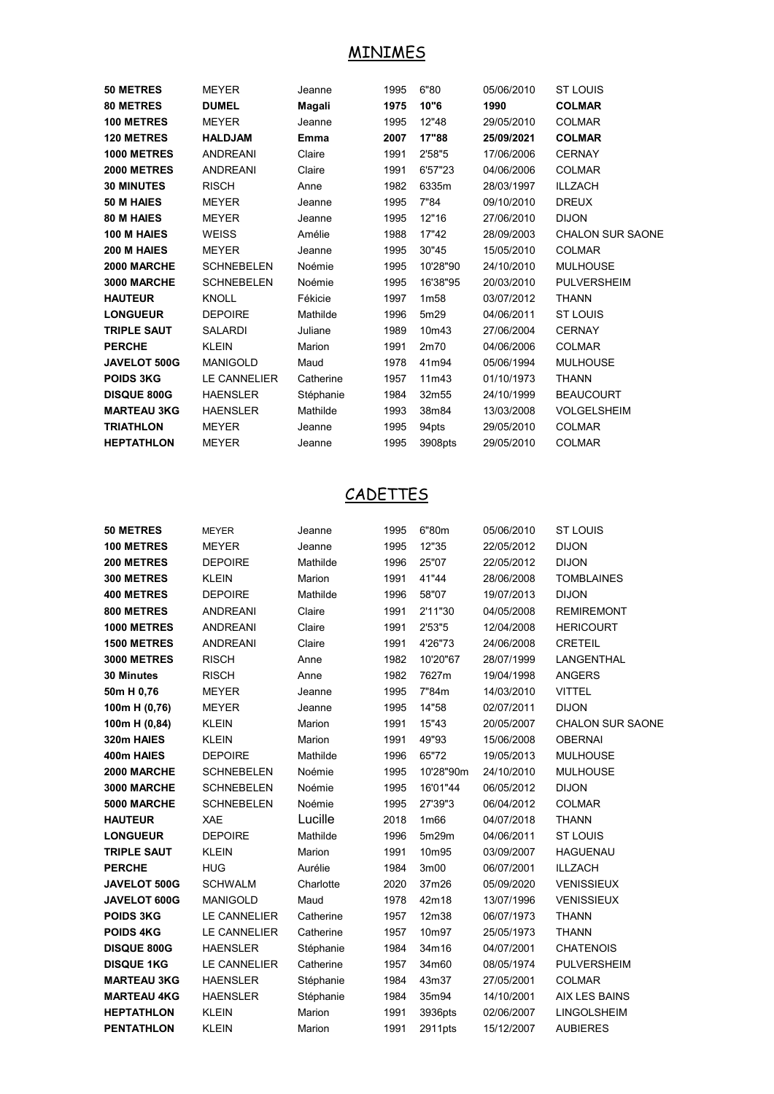#### MINIMES

| 50 METRES           | <b>MEYER</b>      | Jeanne    | 1995 | 6"80             | 05/06/2010 | <b>ST LOUIS</b>         |
|---------------------|-------------------|-----------|------|------------------|------------|-------------------------|
| <b>80 METRES</b>    | <b>DUMEL</b>      | Magali    | 1975 | 10"6             | 1990       | <b>COLMAR</b>           |
| <b>100 METRES</b>   | <b>MEYER</b>      | Jeanne    | 1995 | 12"48            | 29/05/2010 | <b>COLMAR</b>           |
| <b>120 METRES</b>   | <b>HALDJAM</b>    | Emma      | 2007 | 17"88            | 25/09/2021 | <b>COLMAR</b>           |
| 1000 METRES         | <b>ANDREANI</b>   | Claire    | 1991 | 2'58"5           | 17/06/2006 | <b>CERNAY</b>           |
| <b>2000 METRES</b>  | <b>ANDREANI</b>   | Claire    | 1991 | 6'57"23          | 04/06/2006 | <b>COLMAR</b>           |
| <b>30 MINUTES</b>   | <b>RISCH</b>      | Anne      | 1982 | 6335m            | 28/03/1997 | <b>ILLZACH</b>          |
| 50 M HAIES          | <b>MEYER</b>      | Jeanne    | 1995 | 7"84             | 09/10/2010 | <b>DREUX</b>            |
| <b>80 M HAIES</b>   | <b>MEYER</b>      | Jeanne    | 1995 | 12"16            | 27/06/2010 | <b>DIJON</b>            |
| 100 M HAIES         | <b>WEISS</b>      | Amélie    | 1988 | 17"42            | 28/09/2003 | <b>CHALON SUR SAONE</b> |
| 200 M HAIES         | <b>MEYER</b>      | Jeanne    | 1995 | 30"45            | 15/05/2010 | <b>COLMAR</b>           |
| 2000 MARCHE         | <b>SCHNEBELEN</b> | Noémie    | 1995 | 10'28"90         | 24/10/2010 | <b>MULHOUSE</b>         |
| 3000 MARCHE         | <b>SCHNEBELEN</b> | Noémie    | 1995 | 16'38"95         | 20/03/2010 | <b>PULVERSHEIM</b>      |
| <b>HAUTEUR</b>      | <b>KNOLL</b>      | Fékicie   | 1997 | 1 <sub>m58</sub> | 03/07/2012 | THANN                   |
| <b>LONGUEUR</b>     | <b>DEPOIRE</b>    | Mathilde  | 1996 | 5m29             | 04/06/2011 | <b>ST LOUIS</b>         |
| <b>TRIPLE SAUT</b>  | <b>SALARDI</b>    | Juliane   | 1989 | 10m43            | 27/06/2004 | <b>CERNAY</b>           |
| <b>PERCHE</b>       | <b>KLEIN</b>      | Marion    | 1991 | 2m70             | 04/06/2006 | <b>COLMAR</b>           |
| <b>JAVELOT 500G</b> | <b>MANIGOLD</b>   | Maud      | 1978 | 41m94            | 05/06/1994 | <b>MULHOUSE</b>         |
| <b>POIDS 3KG</b>    | LE CANNELIER      | Catherine | 1957 | 11m43            | 01/10/1973 | <b>THANN</b>            |
| <b>DISQUE 800G</b>  | <b>HAENSLER</b>   | Stéphanie | 1984 | 32m55            | 24/10/1999 | <b>BEAUCOURT</b>        |
| <b>MARTEAU 3KG</b>  | <b>HAENSLER</b>   | Mathilde  | 1993 | 38m84            | 13/03/2008 | <b>VOLGELSHEIM</b>      |
| <b>TRIATHLON</b>    | <b>MEYER</b>      | Jeanne    | 1995 | 94pts            | 29/05/2010 | <b>COLMAR</b>           |
| <b>HEPTATHLON</b>   | <b>MEYER</b>      | Jeanne    | 1995 | 3908pts          | 29/05/2010 | <b>COLMAR</b>           |
|                     |                   |           |      |                  |            |                         |

## **CADETTES**

| <b>50 METRES</b>   | <b>MEYER</b>        | Jeanne    | 1995 | 6"80m            | 05/06/2010 | <b>ST LOUIS</b>         |
|--------------------|---------------------|-----------|------|------------------|------------|-------------------------|
| <b>100 METRES</b>  | <b>MEYER</b>        | Jeanne    | 1995 | 12"35            | 22/05/2012 | <b>DIJON</b>            |
| 200 METRES         | <b>DEPOIRE</b>      | Mathilde  | 1996 | 25"07            | 22/05/2012 | <b>DIJON</b>            |
| <b>300 METRES</b>  | <b>KLEIN</b>        | Marion    | 1991 | 41"44            | 28/06/2008 | <b>TOMBLAINES</b>       |
| <b>400 METRES</b>  | <b>DEPOIRE</b>      | Mathilde  | 1996 | 58"07            | 19/07/2013 | <b>DIJON</b>            |
| 800 METRES         | <b>ANDREANI</b>     | Claire    | 1991 | 2'11"30          | 04/05/2008 | <b>REMIREMONT</b>       |
| 1000 METRES        | <b>ANDREANI</b>     | Claire    | 1991 | 2'53"5           | 12/04/2008 | <b>HERICOURT</b>        |
| <b>1500 METRES</b> | <b>ANDREANI</b>     | Claire    | 1991 | 4'26"73          | 24/06/2008 | <b>CRETEIL</b>          |
| <b>3000 METRES</b> | <b>RISCH</b>        | Anne      | 1982 | 10'20"67         | 28/07/1999 | LANGENTHAL              |
| 30 Minutes         | <b>RISCH</b>        | Anne      | 1982 | 7627m            | 19/04/1998 | <b>ANGERS</b>           |
| 50m H 0,76         | <b>MEYER</b>        | Jeanne    | 1995 | 7"84m            | 14/03/2010 | <b>VITTEL</b>           |
| 100m H (0,76)      | <b>MEYER</b>        | Jeanne    | 1995 | 14"58            | 02/07/2011 | <b>DIJON</b>            |
| 100m H (0,84)      | <b>KLEIN</b>        | Marion    | 1991 | 15"43            | 20/05/2007 | <b>CHALON SUR SAONE</b> |
| 320m HAIES         | <b>KLEIN</b>        | Marion    | 1991 | 49"93            | 15/06/2008 | <b>OBERNAI</b>          |
| 400m HAIES         | <b>DEPOIRE</b>      | Mathilde  | 1996 | 65"72            | 19/05/2013 | <b>MULHOUSE</b>         |
| 2000 MARCHE        | <b>SCHNEBELEN</b>   | Noémie    | 1995 | 10'28"90m        | 24/10/2010 | <b>MULHOUSE</b>         |
| 3000 MARCHE        | <b>SCHNEBELEN</b>   | Noémie    | 1995 | 16'01"44         | 06/05/2012 | <b>DIJON</b>            |
| 5000 MARCHE        | <b>SCHNEBELEN</b>   | Noémie    | 1995 | 27'39"3          | 06/04/2012 | <b>COLMAR</b>           |
| <b>HAUTEUR</b>     | <b>XAE</b>          | Lucille   | 2018 | 1 <sub>m66</sub> | 04/07/2018 | <b>THANN</b>            |
| <b>LONGUEUR</b>    | <b>DEPOIRE</b>      | Mathilde  | 1996 | 5m29m            | 04/06/2011 | <b>ST LOUIS</b>         |
| <b>TRIPLE SAUT</b> | <b>KLEIN</b>        | Marion    | 1991 | 10m95            | 03/09/2007 | <b>HAGUENAU</b>         |
| <b>PERCHE</b>      | <b>HUG</b>          | Aurélie   | 1984 | 3m00             | 06/07/2001 | <b>ILLZACH</b>          |
| JAVELOT 500G       | <b>SCHWALM</b>      | Charlotte | 2020 | 37m26            | 05/09/2020 | <b>VENISSIEUX</b>       |
| JAVELOT 600G       | <b>MANIGOLD</b>     | Maud      | 1978 | 42m18            | 13/07/1996 | <b>VENISSIEUX</b>       |
| <b>POIDS 3KG</b>   | LE CANNELIER        | Catherine | 1957 | 12m38            | 06/07/1973 | <b>THANN</b>            |
| <b>POIDS 4KG</b>   | <b>LE CANNELIER</b> | Catherine | 1957 | 10m97            | 25/05/1973 | <b>THANN</b>            |
| <b>DISQUE 800G</b> | <b>HAENSLER</b>     | Stéphanie | 1984 | 34m16            | 04/07/2001 | <b>CHATENOIS</b>        |
| <b>DISQUE 1KG</b>  | LE CANNELIER        | Catherine | 1957 | 34m60            | 08/05/1974 | <b>PULVERSHEIM</b>      |
| <b>MARTEAU 3KG</b> | <b>HAENSLER</b>     | Stéphanie | 1984 | 43m37            | 27/05/2001 | <b>COLMAR</b>           |
| <b>MARTEAU 4KG</b> | <b>HAENSLER</b>     | Stéphanie | 1984 | 35m94            | 14/10/2001 | AIX LES BAINS           |
| <b>HEPTATHLON</b>  | <b>KLEIN</b>        | Marion    | 1991 | 3936pts          | 02/06/2007 | LINGOLSHEIM             |
| PENTATHLON         | <b>KLEIN</b>        | Marion    | 1991 | 2911pts          | 15/12/2007 | <b>AUBIERES</b>         |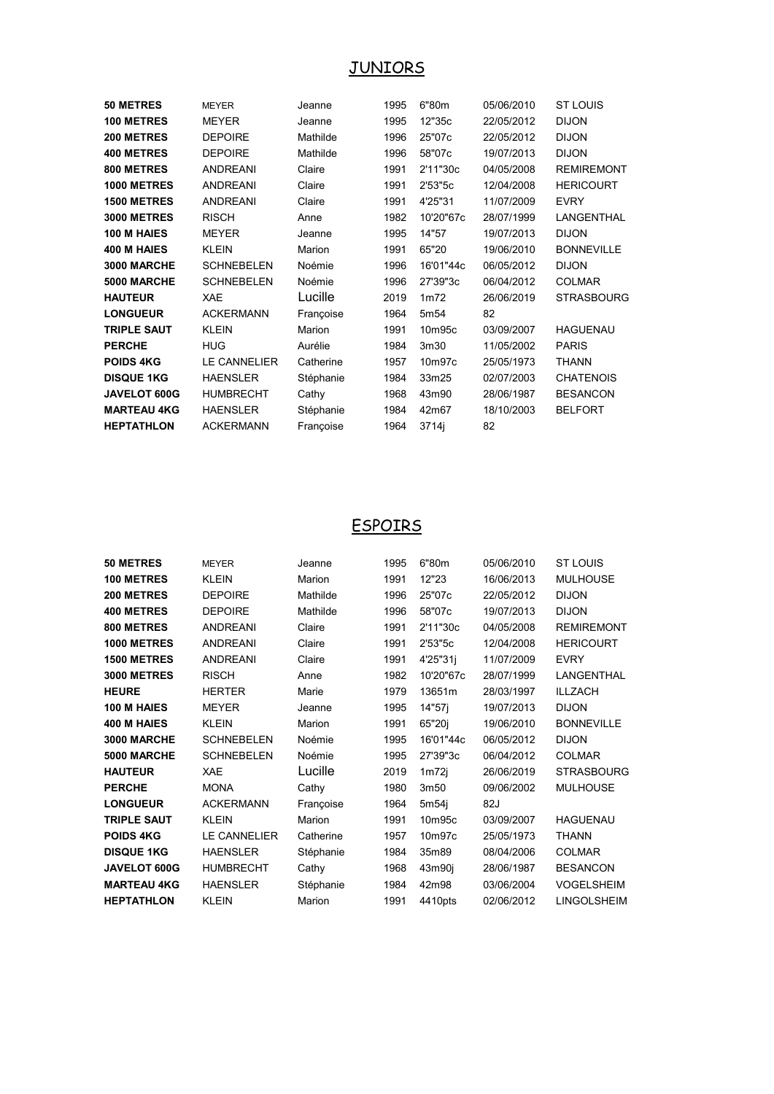# JUNIORS

| <b>50 METRES</b>   | <b>MEYER</b>        | Jeanne    | 1995 | 6"80m            | 05/06/2010 | <b>ST LOUIS</b>   |
|--------------------|---------------------|-----------|------|------------------|------------|-------------------|
| <b>100 METRES</b>  | <b>MEYER</b>        | Jeanne    | 1995 | 12"35c           | 22/05/2012 | <b>DIJON</b>      |
| 200 METRES         | <b>DEPOIRE</b>      | Mathilde  | 1996 | 25"07c           | 22/05/2012 | <b>DIJON</b>      |
| <b>400 METRES</b>  | <b>DEPOIRE</b>      | Mathilde  | 1996 | 58"07c           | 19/07/2013 | <b>DIJON</b>      |
| 800 METRES         | <b>ANDREANI</b>     | Claire    | 1991 | 2'11"30c         | 04/05/2008 | <b>REMIREMONT</b> |
| 1000 METRES        | <b>ANDREANI</b>     | Claire    | 1991 | 2'53"5c          | 12/04/2008 | <b>HERICOURT</b>  |
| <b>1500 METRES</b> | <b>ANDREANI</b>     | Claire    | 1991 | 4'25"31          | 11/07/2009 | <b>EVRY</b>       |
| <b>3000 METRES</b> | <b>RISCH</b>        | Anne      | 1982 | 10'20"67c        | 28/07/1999 | LANGENTHAL        |
| 100 M HAIES        | <b>MEYER</b>        | Jeanne    | 1995 | 14"57            | 19/07/2013 | <b>DIJON</b>      |
| 400 M HAIES        | <b>KLEIN</b>        | Marion    | 1991 | 65"20            | 19/06/2010 | <b>BONNEVILLE</b> |
| 3000 MARCHE        | <b>SCHNEBELEN</b>   | Noémie    | 1996 | 16'01"44c        | 06/05/2012 | <b>DIJON</b>      |
| 5000 MARCHE        | <b>SCHNEBELEN</b>   | Noémie    | 1996 | 27'39"3c         | 06/04/2012 | <b>COLMAR</b>     |
| <b>HAUTEUR</b>     | <b>XAE</b>          | Lucille   | 2019 | 1m72             | 26/06/2019 | <b>STRASBOURG</b> |
| <b>LONGUEUR</b>    | <b>ACKERMANN</b>    | Françoise | 1964 | 5m <sub>54</sub> | 82         |                   |
| <b>TRIPLE SAUT</b> | <b>KLEIN</b>        | Marion    | 1991 | 10m95c           | 03/09/2007 | <b>HAGUENAU</b>   |
| <b>PERCHE</b>      | <b>HUG</b>          | Aurélie   | 1984 | 3m30             | 11/05/2002 | <b>PARIS</b>      |
| <b>POIDS 4KG</b>   | <b>LE CANNELIER</b> | Catherine | 1957 | 10m97c           | 25/05/1973 | <b>THANN</b>      |
| <b>DISQUE 1KG</b>  | <b>HAENSLER</b>     | Stéphanie | 1984 | 33m25            | 02/07/2003 | <b>CHATENOIS</b>  |
| JAVELOT 600G       | <b>HUMBRECHT</b>    | Cathy     | 1968 | 43m90            | 28/06/1987 | <b>BESANCON</b>   |
| <b>MARTEAU 4KG</b> | <b>HAENSLER</b>     | Stéphanie | 1984 | 42m67            | 18/10/2003 | <b>BELFORT</b>    |
| <b>HEPTATHLON</b>  | <b>ACKERMANN</b>    | Françoise | 1964 | 3714i            | 82         |                   |
|                    |                     |           |      |                  |            |                   |

# **ESPOIRS**

| <b>MEYER</b>        | Jeanne    | 1995 | 6"80m     | 05/06/2010 | <b>ST LOUIS</b>    |
|---------------------|-----------|------|-----------|------------|--------------------|
| <b>KLEIN</b>        | Marion    | 1991 | 12"23     | 16/06/2013 | <b>MULHOUSE</b>    |
| <b>DEPOIRE</b>      | Mathilde  | 1996 | 25"07c    | 22/05/2012 | <b>DIJON</b>       |
| <b>DEPOIRE</b>      | Mathilde  | 1996 | 58"07c    | 19/07/2013 | <b>DIJON</b>       |
| <b>ANDREANI</b>     | Claire    | 1991 | 2'11"30c  | 04/05/2008 | <b>REMIREMONT</b>  |
| <b>ANDREANI</b>     | Claire    | 1991 | 2'53"5c   | 12/04/2008 | <b>HERICOURT</b>   |
| <b>ANDREANI</b>     | Claire    | 1991 | 4'25"31i  | 11/07/2009 | <b>EVRY</b>        |
| <b>RISCH</b>        | Anne      | 1982 | 10'20"67c | 28/07/1999 | LANGENTHAL         |
| <b>HERTER</b>       | Marie     | 1979 | 13651m    | 28/03/1997 | <b>ILLZACH</b>     |
| <b>MEYER</b>        | Jeanne    | 1995 | 14"57i    | 19/07/2013 | <b>DIJON</b>       |
| <b>KLEIN</b>        | Marion    | 1991 | 65"20j    | 19/06/2010 | <b>BONNEVILLE</b>  |
| <b>SCHNEBELEN</b>   | Noémie    | 1995 | 16'01"44c | 06/05/2012 | <b>DIJON</b>       |
| <b>SCHNEBELEN</b>   | Noémie    | 1995 | 27'39"3c  | 06/04/2012 | <b>COLMAR</b>      |
| <b>XAE</b>          | Lucille   | 2019 | 1m72j     | 26/06/2019 | <b>STRASBOURG</b>  |
| <b>MONA</b>         | Cathy     | 1980 | 3m50      | 09/06/2002 | <b>MULHOUSE</b>    |
| <b>ACKERMANN</b>    | Françoise | 1964 | 5m54i     | 82J        |                    |
| <b>KLEIN</b>        | Marion    | 1991 | 10m95c    | 03/09/2007 | <b>HAGUENAU</b>    |
| <b>LE CANNELIER</b> | Catherine | 1957 | 10m97c    | 25/05/1973 | <b>THANN</b>       |
| <b>HAENSLER</b>     | Stéphanie | 1984 | 35m89     | 08/04/2006 | <b>COLMAR</b>      |
| <b>HUMBRECHT</b>    | Cathy     | 1968 | 43m90j    | 28/06/1987 | <b>BESANCON</b>    |
| <b>HAENSLER</b>     | Stéphanie | 1984 | 42m98     | 03/06/2004 | <b>VOGELSHEIM</b>  |
| <b>KLEIN</b>        | Marion    | 1991 | 4410pts   | 02/06/2012 | <b>LINGOLSHEIM</b> |
|                     |           |      |           |            |                    |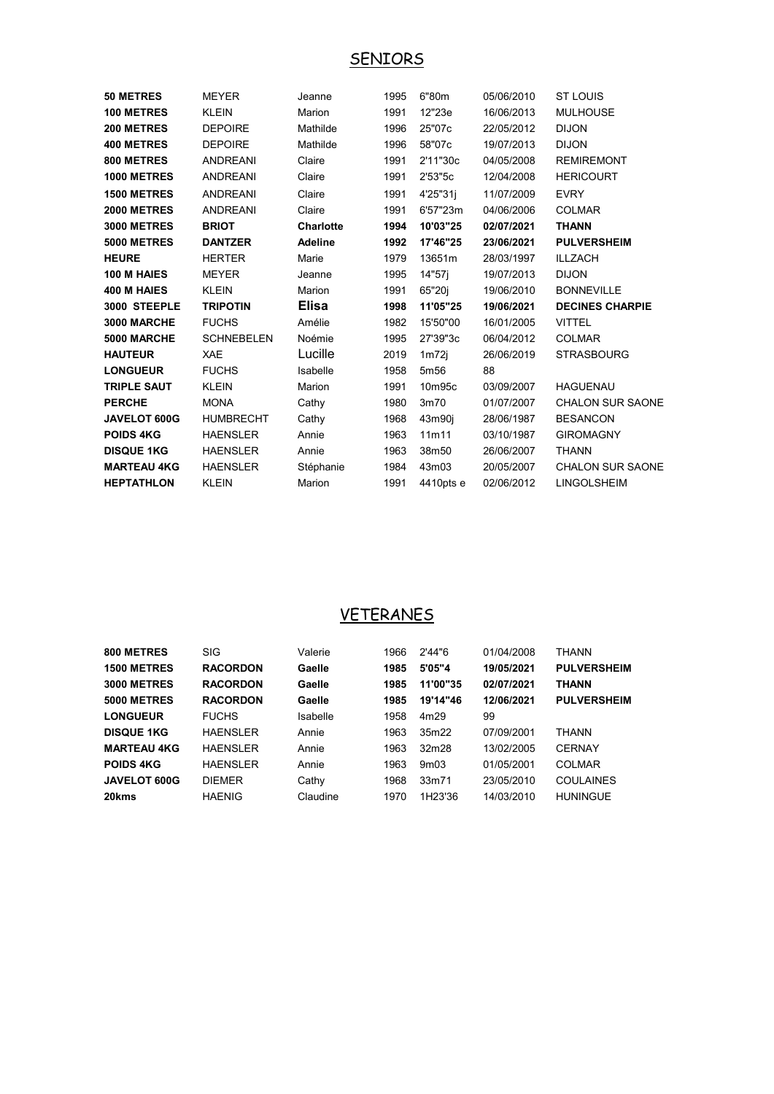### SENIORS

| <b>50 METRES</b>   | <b>MEYER</b>      | Jeanne         | 1995 | 6"80m              | 05/06/2010 | <b>ST LOUIS</b>         |
|--------------------|-------------------|----------------|------|--------------------|------------|-------------------------|
| <b>100 METRES</b>  | <b>KLEIN</b>      | Marion         | 1991 | 12"23e             | 16/06/2013 | <b>MULHOUSE</b>         |
| 200 METRES         | <b>DEPOIRE</b>    | Mathilde       | 1996 | 25"07c             | 22/05/2012 | <b>DIJON</b>            |
| <b>400 METRES</b>  | <b>DEPOIRE</b>    | Mathilde       | 1996 | 58"07c             | 19/07/2013 | <b>DIJON</b>            |
| 800 METRES         | <b>ANDREANI</b>   | Claire         | 1991 | 2'11"30c           | 04/05/2008 | <b>REMIREMONT</b>       |
| 1000 METRES        | <b>ANDREANI</b>   | Claire         | 1991 | 2'53"5c            | 12/04/2008 | <b>HERICOURT</b>        |
| <b>1500 METRES</b> | <b>ANDREANI</b>   | Claire         | 1991 | 4'25"31j           | 11/07/2009 | <b>EVRY</b>             |
| <b>2000 METRES</b> | <b>ANDREANI</b>   | Claire         | 1991 | 6'57"23m           | 04/06/2006 | <b>COLMAR</b>           |
| <b>3000 METRES</b> | <b>BRIOT</b>      | Charlotte      | 1994 | 10'03"25           | 02/07/2021 | <b>THANN</b>            |
| <b>5000 METRES</b> | <b>DANTZER</b>    | <b>Adeline</b> | 1992 | 17'46"25           | 23/06/2021 | <b>PULVERSHEIM</b>      |
| <b>HEURE</b>       | <b>HERTER</b>     | Marie          | 1979 | 13651m             | 28/03/1997 | <b>ILLZACH</b>          |
| 100 M HAIES        | <b>MEYER</b>      | Jeanne         | 1995 | 14"57i             | 19/07/2013 | <b>DIJON</b>            |
| 400 M HAIES        | <b>KLEIN</b>      | <b>Marion</b>  | 1991 | 65"20i             | 19/06/2010 | <b>BONNEVILLE</b>       |
| 3000 STEEPLE       | <b>TRIPOTIN</b>   | <b>Elisa</b>   | 1998 | 11'05"25           | 19/06/2021 | <b>DECINES CHARPIE</b>  |
| 3000 MARCHE        | <b>FUCHS</b>      | Amélie         | 1982 | 15'50"00           | 16/01/2005 | <b>VITTEL</b>           |
| 5000 MARCHE        | <b>SCHNEBELEN</b> | Noémie         | 1995 | 27'39"3c           | 06/04/2012 | <b>COLMAR</b>           |
| <b>HAUTEUR</b>     | XAE               | Lucille        | 2019 | 1 <sub>m</sub> 72i | 26/06/2019 | <b>STRASBOURG</b>       |
| <b>LONGUEUR</b>    | <b>FUCHS</b>      | Isabelle       | 1958 | 5m <sub>56</sub>   | 88         |                         |
| <b>TRIPLE SAUT</b> | <b>KLEIN</b>      | Marion         | 1991 | 10m95c             | 03/09/2007 | <b>HAGUENAU</b>         |
| <b>PERCHE</b>      | <b>MONA</b>       | Cathy          | 1980 | 3m70               | 01/07/2007 | <b>CHALON SUR SAONE</b> |
| JAVELOT 600G       | <b>HUMBRECHT</b>  | Cathy          | 1968 | 43m90j             | 28/06/1987 | <b>BESANCON</b>         |
| <b>POIDS 4KG</b>   | <b>HAENSLER</b>   | Annie          | 1963 | 11m11              | 03/10/1987 | <b>GIROMAGNY</b>        |
| <b>DISQUE 1KG</b>  | <b>HAENSLER</b>   | Annie          | 1963 | 38m50              | 26/06/2007 | <b>THANN</b>            |
| <b>MARTEAU 4KG</b> | <b>HAENSLER</b>   | Stéphanie      | 1984 | 43m03              | 20/05/2007 | <b>CHALON SUR SAONE</b> |
| <b>HEPTATHLON</b>  | <b>KLEIN</b>      | Marion         | 1991 | 4410pts e          | 02/06/2012 | <b>LINGOLSHEIM</b>      |

### VETERANES

| 800 METRES          | <b>SIG</b>       | Valerie  | 1966 | 2'44"6   | 01/04/2008 | <b>THANN</b>       |
|---------------------|------------------|----------|------|----------|------------|--------------------|
| <b>1500 METRES</b>  | <b>RACORDON</b>  | Gaelle   | 1985 | 5'05"4   | 19/05/2021 | <b>PULVERSHEIM</b> |
| 3000 METRES         | <b>RACORDON</b>  | Gaelle   | 1985 | 11'00"35 | 02/07/2021 | <b>THANN</b>       |
| 5000 METRES         | <b>RACORDON</b>  | Gaelle   | 1985 | 19'14"46 | 12/06/2021 | <b>PULVERSHEIM</b> |
| <b>LONGUEUR</b>     | <b>FUCHS</b>     | Isabelle | 1958 | 4m29     | 99         |                    |
| <b>DISQUE 1KG</b>   | <b>HAFNSI FR</b> | Annie    | 1963 | 35m22    | 07/09/2001 | <b>THANN</b>       |
| <b>MARTEAU 4KG</b>  | <b>HAFNSI FR</b> | Annie    | 1963 | 32m28    | 13/02/2005 | <b>CERNAY</b>      |
| <b>POIDS 4KG</b>    | <b>HAENSLER</b>  | Annie    | 1963 | 9m03     | 01/05/2001 | COI MAR            |
| <b>JAVELOT 600G</b> | <b>DIFMFR</b>    | Cathy    | 1968 | 33m71    | 23/05/2010 | <b>COULAINES</b>   |
| 20kms               | <b>HAENIG</b>    | Claudine | 1970 | 1H23'36  | 14/03/2010 | <b>HUNINGUE</b>    |
|                     |                  |          |      |          |            |                    |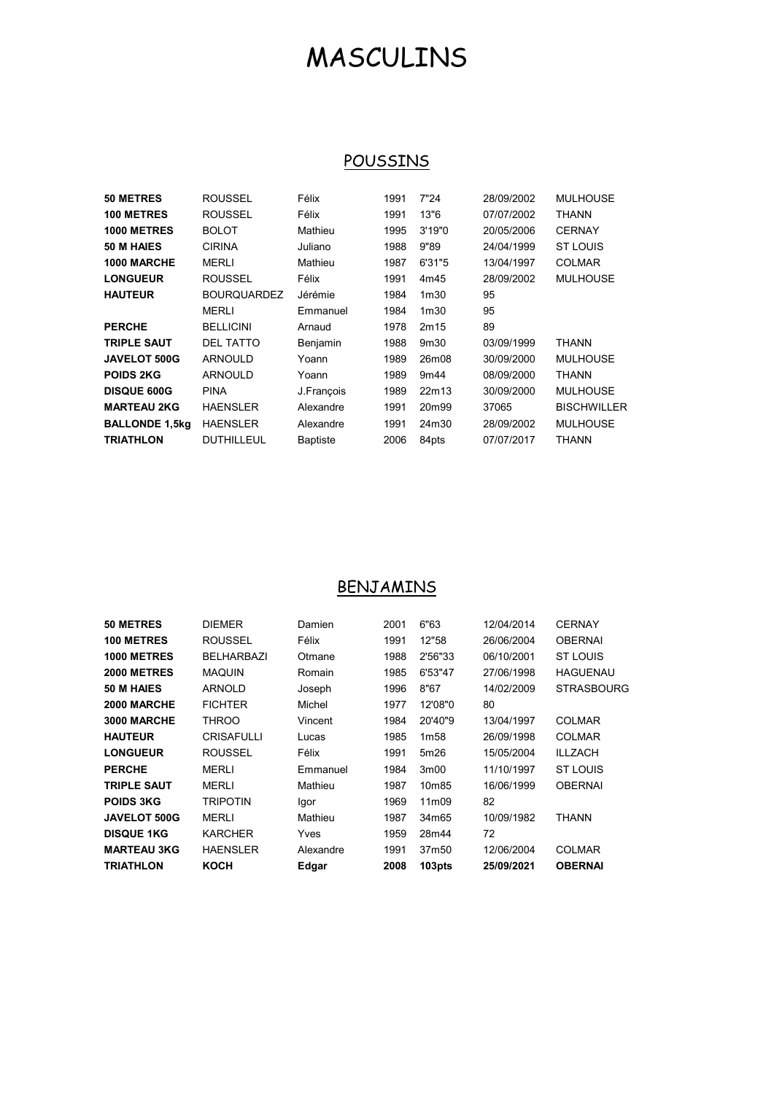# MASCULINS

### **POUSSINS**

| 50 METRES             | <b>ROUSSEL</b>     | Félix           | 1991 | 7"24             | 28/09/2002 | <b>MULHOUSE</b>    |
|-----------------------|--------------------|-----------------|------|------------------|------------|--------------------|
| <b>100 METRES</b>     | <b>ROUSSEL</b>     | Félix           | 1991 | 13"6             | 07/07/2002 | <b>THANN</b>       |
| 1000 METRES           | <b>BOLOT</b>       | Mathieu         | 1995 | 3'19"0           | 20/05/2006 | <b>CERNAY</b>      |
| 50 M HAIES            | <b>CIRINA</b>      | Juliano         | 1988 | 9"89             | 24/04/1999 | <b>ST LOUIS</b>    |
| 1000 MARCHE           | MERLI              | Mathieu         | 1987 | 6'31"5           | 13/04/1997 | <b>COLMAR</b>      |
| <b>LONGUEUR</b>       | <b>ROUSSEL</b>     | Félix           | 1991 | 4m45             | 28/09/2002 | <b>MULHOUSE</b>    |
| <b>HAUTEUR</b>        | <b>BOURQUARDEZ</b> | Jérémie         | 1984 | 1 <sub>m30</sub> | 95         |                    |
|                       | MERLI              | Emmanuel        | 1984 | 1 <sub>m30</sub> | 95         |                    |
| <b>PERCHE</b>         | <b>BELLICINI</b>   | Arnaud          | 1978 | 2m15             | 89         |                    |
| <b>TRIPLE SAUT</b>    | <b>DEL TATTO</b>   | Benjamin        | 1988 | 9m30             | 03/09/1999 | THANN              |
| <b>JAVELOT 500G</b>   | <b>ARNOULD</b>     | Yoann           | 1989 | 26m08            | 30/09/2000 | <b>MULHOUSE</b>    |
| <b>POIDS 2KG</b>      | <b>ARNOULD</b>     | Yoann           | 1989 | 9m44             | 08/09/2000 | THANN              |
| <b>DISQUE 600G</b>    | <b>PINA</b>        | J.François      | 1989 | 22m13            | 30/09/2000 | <b>MULHOUSE</b>    |
| <b>MARTEAU 2KG</b>    | <b>HAENSLER</b>    | Alexandre       | 1991 | 20m99            | 37065      | <b>BISCHWILLER</b> |
| <b>BALLONDE 1,5kg</b> | <b>HAENSLER</b>    | Alexandre       | 1991 | 24m30            | 28/09/2002 | <b>MULHOUSE</b>    |
| <b>TRIATHLON</b>      | <b>DUTHILLEUL</b>  | <b>Baptiste</b> | 2006 | 84pts            | 07/07/2017 | THANN              |

#### BENJAMINS

| 50 METRES           | <b>DIEMER</b>     | Damien    | 2001 | 6"63               | 12/04/2014 | <b>CERNAY</b>     |
|---------------------|-------------------|-----------|------|--------------------|------------|-------------------|
| <b>100 METRES</b>   | <b>ROUSSEL</b>    | Félix     | 1991 | 12"58              | 26/06/2004 | <b>OBERNAI</b>    |
| 1000 METRES         | <b>BELHARBAZI</b> | Otmane    | 1988 | 2'56"33            | 06/10/2001 | ST LOUIS          |
| 2000 METRES         | <b>MAQUIN</b>     | Romain    | 1985 | 6'53"47            | 27/06/1998 | <b>HAGUENAU</b>   |
| 50 M HAIES          | ARNOLD            | Joseph    | 1996 | 8"67               | 14/02/2009 | <b>STRASBOURG</b> |
| 2000 MARCHE         | <b>FICHTER</b>    | Michel    | 1977 | 12'08"0            | 80         |                   |
| 3000 MARCHE         | THROO             | Vincent   | 1984 | 20'40"9            | 13/04/1997 | <b>COLMAR</b>     |
| <b>HAUTEUR</b>      | <b>CRISAFULLI</b> | Lucas     | 1985 | 1 <sub>m58</sub>   | 26/09/1998 | <b>COLMAR</b>     |
| <b>LONGUEUR</b>     | <b>ROUSSEL</b>    | Félix     | 1991 | 5m26               | 15/05/2004 | <b>ILLZACH</b>    |
| <b>PERCHE</b>       | MERLI             | Emmanuel  | 1984 | 3 <sub>m</sub> 00  | 11/10/1997 | <b>ST LOUIS</b>   |
| <b>TRIPLE SAUT</b>  | MERLI             | Mathieu   | 1987 | 10m85              | 16/06/1999 | <b>OBERNAI</b>    |
| <b>POIDS 3KG</b>    | TRIPOTIN          | Igor      | 1969 | 11m09              | 82         |                   |
| <b>JAVELOT 500G</b> | MERLI             | Mathieu   | 1987 | 34m65              | 10/09/1982 | THANN             |
| <b>DISQUE 1KG</b>   | <b>KARCHER</b>    | Yves      | 1959 | 28m44              | 72         |                   |
| <b>MARTEAU 3KG</b>  | <b>HAENSLER</b>   | Alexandre | 1991 | 37m50              | 12/06/2004 | <b>COLMAR</b>     |
| <b>TRIATHLON</b>    | <b>KOCH</b>       | Edgar     | 2008 | 103 <sub>pts</sub> | 25/09/2021 | <b>OBERNAI</b>    |
|                     |                   |           |      |                    |            |                   |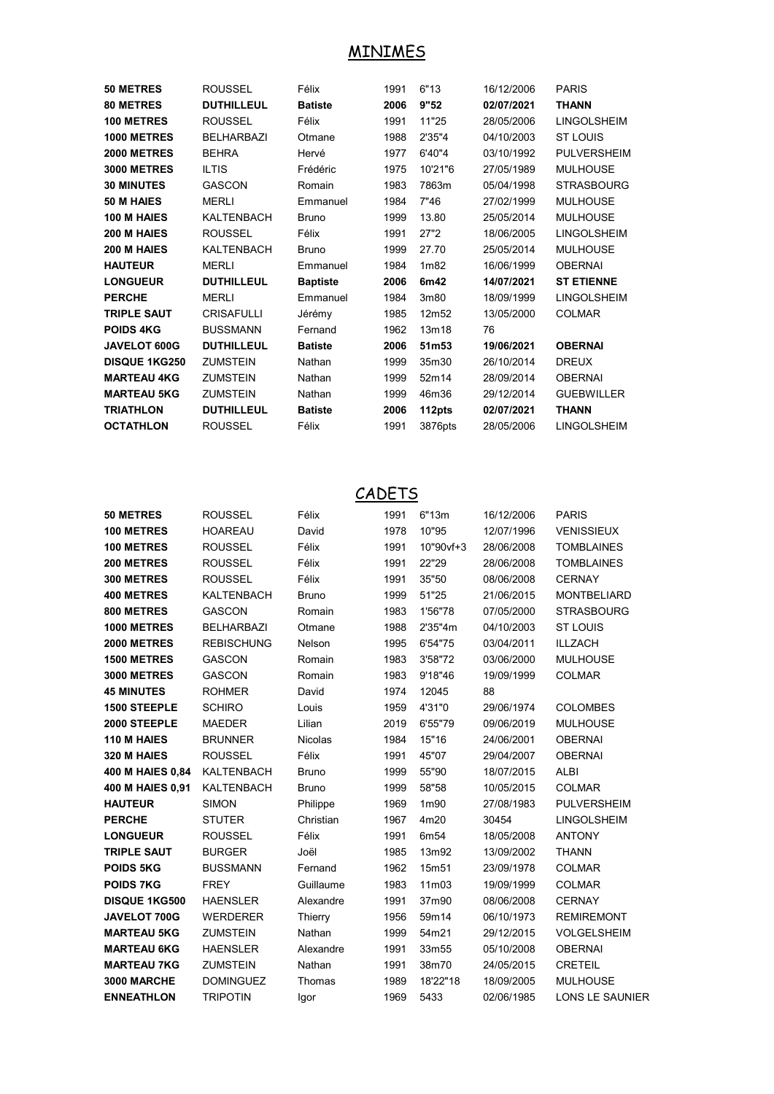#### MINIMES

| 50 METRES            | <b>ROUSSEL</b>    | Félix           | 1991 | 6"13              | 16/12/2006 | <b>PARIS</b>       |
|----------------------|-------------------|-----------------|------|-------------------|------------|--------------------|
| <b>80 METRES</b>     | <b>DUTHILLEUL</b> | <b>Batiste</b>  | 2006 | 9"52              | 02/07/2021 | <b>THANN</b>       |
| <b>100 METRES</b>    | <b>ROUSSEL</b>    | Félix           | 1991 | 11"25             | 28/05/2006 | <b>LINGOLSHEIM</b> |
| 1000 METRES          | <b>BELHARBAZI</b> | Otmane          | 1988 | 2'35"4            | 04/10/2003 | <b>ST LOUIS</b>    |
| <b>2000 METRES</b>   | <b>BEHRA</b>      | Hervé           | 1977 | 6'40"4            | 03/10/1992 | <b>PULVERSHEIM</b> |
| <b>3000 METRES</b>   | <b>ILTIS</b>      | Frédéric        | 1975 | 10'21"6           | 27/05/1989 | <b>MULHOUSE</b>    |
| <b>30 MINUTES</b>    | <b>GASCON</b>     | Romain          | 1983 | 7863m             | 05/04/1998 | <b>STRASBOURG</b>  |
| 50 M HAIES           | <b>MERLI</b>      | Emmanuel        | 1984 | 7"46              | 27/02/1999 | <b>MULHOUSE</b>    |
| 100 M HAIES          | <b>KALTENBACH</b> | <b>Bruno</b>    | 1999 | 13.80             | 25/05/2014 | <b>MULHOUSE</b>    |
| 200 M HAIES          | <b>ROUSSEL</b>    | Félix           | 1991 | 27"2              | 18/06/2005 | <b>LINGOLSHEIM</b> |
| 200 M HAIES          | <b>KALTENBACH</b> | <b>Bruno</b>    | 1999 | 27.70             | 25/05/2014 | <b>MULHOUSE</b>    |
| <b>HAUTEUR</b>       | <b>MERLI</b>      | Emmanuel        | 1984 | 1 <sub>m</sub> 82 | 16/06/1999 | <b>OBERNAI</b>     |
| <b>LONGUEUR</b>      | <b>DUTHILLEUL</b> | <b>Baptiste</b> | 2006 | 6m42              | 14/07/2021 | <b>ST ETIENNE</b>  |
| <b>PERCHE</b>        | <b>MERLI</b>      | Emmanuel        | 1984 | 3m80              | 18/09/1999 | <b>LINGOLSHEIM</b> |
| <b>TRIPLE SAUT</b>   | <b>CRISAFULLI</b> | Jérémy          | 1985 | 12m52             | 13/05/2000 | <b>COLMAR</b>      |
| <b>POIDS 4KG</b>     | <b>BUSSMANN</b>   | Fernand         | 1962 | 13m18             | 76         |                    |
| <b>JAVELOT 600G</b>  | <b>DUTHILLEUL</b> | <b>Batiste</b>  | 2006 | 51m53             | 19/06/2021 | <b>OBERNAI</b>     |
| <b>DISQUE 1KG250</b> | <b>ZUMSTEIN</b>   | Nathan          | 1999 | 35m30             | 26/10/2014 | <b>DREUX</b>       |
| <b>MARTEAU 4KG</b>   | <b>ZUMSTEIN</b>   | Nathan          | 1999 | 52m14             | 28/09/2014 | <b>OBERNAI</b>     |
| <b>MARTEAU 5KG</b>   | <b>ZUMSTEIN</b>   | Nathan          | 1999 | 46m36             | 29/12/2014 | <b>GUEBWILLER</b>  |
| <b>TRIATHLON</b>     | <b>DUTHILLEUL</b> | <b>Batiste</b>  | 2006 | 112pts            | 02/07/2021 | <b>THANN</b>       |
| <b>OCTATHLON</b>     | <b>ROUSSEL</b>    | Félix           | 1991 | 3876pts           | 28/05/2006 | <b>LINGOLSHEIM</b> |
|                      |                   |                 |      |                   |            |                    |

#### **CADETS**

| <b>50 METRES</b>     | <b>ROUSSEL</b>    | Félix          | 1991 | 6"13m     | 16/12/2006 | <b>PARIS</b>           |
|----------------------|-------------------|----------------|------|-----------|------------|------------------------|
| 100 METRES           | <b>HOAREAU</b>    | David          | 1978 | 10"95     | 12/07/1996 | <b>VENISSIEUX</b>      |
| <b>100 METRES</b>    | <b>ROUSSEL</b>    | Félix          | 1991 | 10"90vf+3 | 28/06/2008 | <b>TOMBLAINES</b>      |
| 200 METRES           | <b>ROUSSEL</b>    | Félix          | 1991 | 22"29     | 28/06/2008 | <b>TOMBLAINES</b>      |
| 300 METRES           | <b>ROUSSEL</b>    | Félix          | 1991 | 35"50     | 08/06/2008 | <b>CERNAY</b>          |
| <b>400 METRES</b>    | <b>KALTENBACH</b> | <b>Bruno</b>   | 1999 | 51"25     | 21/06/2015 | <b>MONTBELIARD</b>     |
| 800 METRES           | <b>GASCON</b>     | Romain         | 1983 | 1'56"78   | 07/05/2000 | <b>STRASBOURG</b>      |
| 1000 METRES          | <b>BELHARBAZI</b> | Otmane         | 1988 | 2'35"4m   | 04/10/2003 | <b>ST LOUIS</b>        |
| 2000 METRES          | <b>REBISCHUNG</b> | Nelson         | 1995 | 6'54"75   | 03/04/2011 | <b>ILLZACH</b>         |
| <b>1500 METRES</b>   | <b>GASCON</b>     | Romain         | 1983 | 3'58"72   | 03/06/2000 | <b>MULHOUSE</b>        |
| <b>3000 METRES</b>   | <b>GASCON</b>     | Romain         | 1983 | 9'18"46   | 19/09/1999 | <b>COLMAR</b>          |
| <b>45 MINUTES</b>    | <b>ROHMER</b>     | David          | 1974 | 12045     | 88         |                        |
| <b>1500 STEEPLE</b>  | <b>SCHIRO</b>     | Louis          | 1959 | 4'31"0    | 29/06/1974 | <b>COLOMBES</b>        |
| 2000 STEEPLE         | <b>MAEDER</b>     | Lilian         | 2019 | 6'55"79   | 09/06/2019 | <b>MULHOUSE</b>        |
| 110 M HAIES          | <b>BRUNNER</b>    | <b>Nicolas</b> | 1984 | 15"16     | 24/06/2001 | <b>OBERNAI</b>         |
| 320 M HAIES          | <b>ROUSSEL</b>    | Félix          | 1991 | 45"07     | 29/04/2007 | <b>OBERNAI</b>         |
| 400 M HAIES 0,84     | KALTENBACH        | <b>Bruno</b>   | 1999 | 55"90     | 18/07/2015 | <b>ALBI</b>            |
| 400 M HAIES 0.91     | KALTENBACH        | <b>Bruno</b>   | 1999 | 58"58     | 10/05/2015 | <b>COLMAR</b>          |
| <b>HAUTEUR</b>       | <b>SIMON</b>      | Philippe       | 1969 | 1m90      | 27/08/1983 | <b>PULVERSHEIM</b>     |
| <b>PERCHE</b>        | <b>STUTER</b>     | Christian      | 1967 | 4m20      | 30454      | LINGOLSHEIM            |
| <b>LONGUEUR</b>      | <b>ROUSSEL</b>    | Félix          | 1991 | 6m54      | 18/05/2008 | <b>ANTONY</b>          |
| <b>TRIPLE SAUT</b>   | <b>BURGER</b>     | Joël           | 1985 | 13m92     | 13/09/2002 | <b>THANN</b>           |
| <b>POIDS 5KG</b>     | <b>BUSSMANN</b>   | Fernand        | 1962 | 15m51     | 23/09/1978 | <b>COLMAR</b>          |
| <b>POIDS 7KG</b>     | <b>FREY</b>       | Guillaume      | 1983 | 11m03     | 19/09/1999 | <b>COLMAR</b>          |
| <b>DISQUE 1KG500</b> | <b>HAENSLER</b>   | Alexandre      | 1991 | 37m90     | 08/06/2008 | <b>CERNAY</b>          |
| JAVELOT 700G         | <b>WERDERER</b>   | Thierry        | 1956 | 59m14     | 06/10/1973 | <b>REMIREMONT</b>      |
| <b>MARTEAU 5KG</b>   | <b>ZUMSTEIN</b>   | Nathan         | 1999 | 54m21     | 29/12/2015 | <b>VOLGELSHEIM</b>     |
| <b>MARTEAU 6KG</b>   | <b>HAENSLER</b>   | Alexandre      | 1991 | 33m55     | 05/10/2008 | <b>OBERNAI</b>         |
| <b>MARTEAU 7KG</b>   | <b>ZUMSTEIN</b>   | Nathan         | 1991 | 38m70     | 24/05/2015 | <b>CRETEIL</b>         |
| 3000 MARCHE          | <b>DOMINGUEZ</b>  | Thomas         | 1989 | 18'22"18  | 18/09/2005 | <b>MULHOUSE</b>        |
| <b>ENNEATHLON</b>    | <b>TRIPOTIN</b>   | Igor           | 1969 | 5433      | 02/06/1985 | <b>LONS LE SAUNIER</b> |
|                      |                   |                |      |           |            |                        |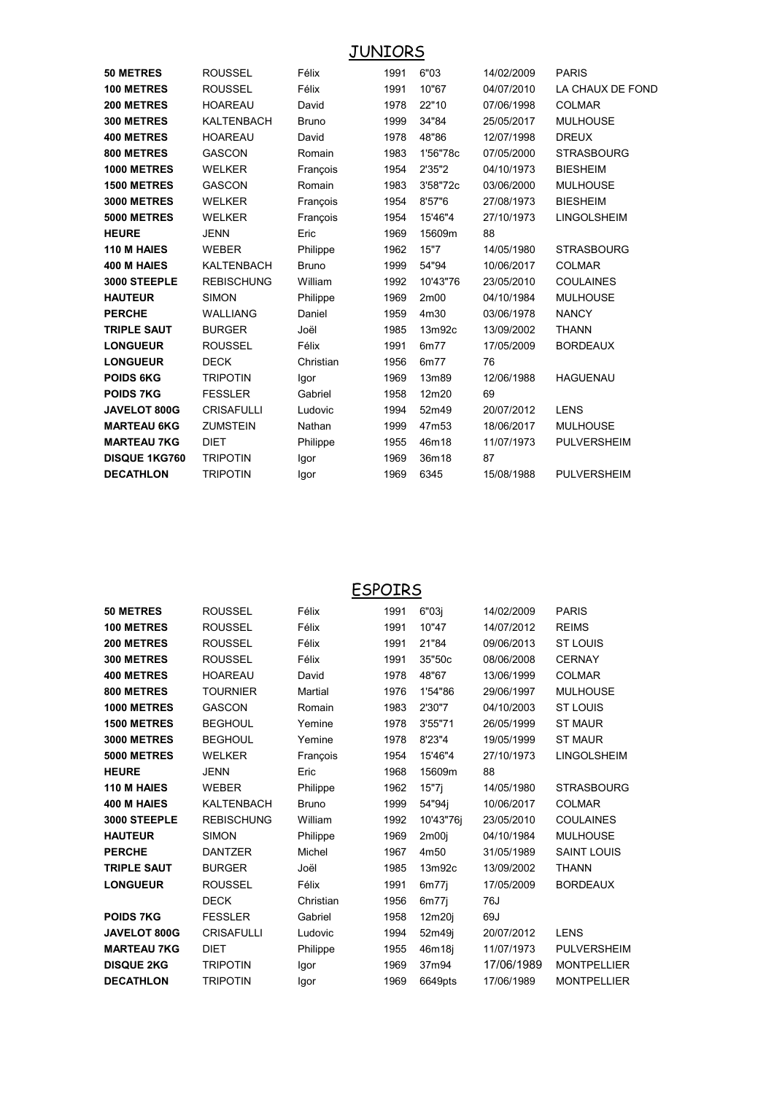**JUNIORS** 

| 50 METRES            | <b>ROUSSEL</b>    | Félix        | 1991 | 6"03                            | 14/02/2009 | <b>PARIS</b>       |
|----------------------|-------------------|--------------|------|---------------------------------|------------|--------------------|
| 100 METRES           | <b>ROUSSEL</b>    | Félix        | 1991 | 10"67                           | 04/07/2010 | LA CHAUX DE FOND   |
| 200 METRES           | <b>HOAREAU</b>    | David        | 1978 | 22"10                           | 07/06/1998 | <b>COLMAR</b>      |
| 300 METRES           | <b>KALTENBACH</b> | <b>Bruno</b> | 1999 | 34"84                           | 25/05/2017 | <b>MULHOUSE</b>    |
| <b>400 METRES</b>    | <b>HOAREAU</b>    | David        | 1978 | 48"86                           | 12/07/1998 | <b>DREUX</b>       |
| 800 METRES           | <b>GASCON</b>     | Romain       | 1983 | 1'56"78c                        | 07/05/2000 | <b>STRASBOURG</b>  |
| 1000 METRES          | <b>WELKER</b>     | François     | 1954 | 2'35"2                          | 04/10/1973 | <b>BIESHEIM</b>    |
| <b>1500 METRES</b>   | <b>GASCON</b>     | Romain       | 1983 | 3'58"72c                        | 03/06/2000 | <b>MULHOUSE</b>    |
| <b>3000 METRES</b>   | <b>WELKER</b>     | François     | 1954 | 8'57"6                          | 27/08/1973 | <b>BIESHEIM</b>    |
| <b>5000 METRES</b>   | <b>WELKER</b>     | François     | 1954 | 15'46"4                         | 27/10/1973 | <b>LINGOLSHEIM</b> |
| <b>HEURE</b>         | JENN              | Eric         | 1969 | 15609m                          | 88         |                    |
| 110 M HAIES          | <b>WEBER</b>      | Philippe     | 1962 | 15"7                            | 14/05/1980 | <b>STRASBOURG</b>  |
| 400 M HAIES          | <b>KALTENBACH</b> | <b>Bruno</b> | 1999 | 54"94                           | 10/06/2017 | <b>COLMAR</b>      |
| 3000 STEEPLE         | <b>REBISCHUNG</b> | William      | 1992 | 10'43"76                        | 23/05/2010 | <b>COULAINES</b>   |
| <b>HAUTEUR</b>       | <b>SIMON</b>      | Philippe     | 1969 | 2m <sub>00</sub>                | 04/10/1984 | <b>MULHOUSE</b>    |
| <b>PERCHE</b>        | <b>WALLIANG</b>   | Daniel       | 1959 | 4m30                            | 03/06/1978 | <b>NANCY</b>       |
| <b>TRIPLE SAUT</b>   | <b>BURGER</b>     | Joël         | 1985 | 13 <sub>m</sub> 92 <sub>c</sub> | 13/09/2002 | <b>THANN</b>       |
| <b>LONGUEUR</b>      | <b>ROUSSEL</b>    | Félix        | 1991 | 6m77                            | 17/05/2009 | <b>BORDEAUX</b>    |
| <b>LONGUEUR</b>      | <b>DECK</b>       | Christian    | 1956 | 6m77                            | 76         |                    |
| <b>POIDS 6KG</b>     | <b>TRIPOTIN</b>   | Igor         | 1969 | 13m89                           | 12/06/1988 | <b>HAGUENAU</b>    |
| <b>POIDS 7KG</b>     | <b>FESSLER</b>    | Gabriel      | 1958 | 12m20                           | 69         |                    |
| JAVELOT 800G         | <b>CRISAFULLI</b> | Ludovic      | 1994 | 52m49                           | 20/07/2012 | <b>LENS</b>        |
| <b>MARTEAU 6KG</b>   | <b>ZUMSTEIN</b>   | Nathan       | 1999 | 47m53                           | 18/06/2017 | <b>MULHOUSE</b>    |
| <b>MARTEAU 7KG</b>   | <b>DIET</b>       | Philippe     | 1955 | 46m18                           | 11/07/1973 | <b>PULVERSHEIM</b> |
| <b>DISQUE 1KG760</b> | <b>TRIPOTIN</b>   | Igor         | 1969 | 36m18                           | 87         |                    |
| <b>DECATHLON</b>     | <b>TRIPOTIN</b>   | Igor         | 1969 | 6345                            | 15/08/1988 | <b>PULVERSHEIM</b> |
|                      |                   |              |      |                                 |            |                    |

**ESPOIRS** 

| <b>50 METRES</b>   | <b>ROUSSEL</b>    | Félix        | 1991 | 6"03j     | 14/02/2009 | <b>PARIS</b>       |
|--------------------|-------------------|--------------|------|-----------|------------|--------------------|
| <b>100 METRES</b>  | <b>ROUSSEL</b>    | Félix        | 1991 | 10"47     | 14/07/2012 | <b>REIMS</b>       |
| 200 METRES         | <b>ROUSSEL</b>    | Félix        | 1991 | 21"84     | 09/06/2013 | <b>ST LOUIS</b>    |
| 300 METRES         | <b>ROUSSEL</b>    | Félix        | 1991 | 35"50c    | 08/06/2008 | <b>CERNAY</b>      |
| <b>400 METRES</b>  | <b>HOAREAU</b>    | David        | 1978 | 48"67     | 13/06/1999 | <b>COLMAR</b>      |
| 800 METRES         | <b>TOURNIER</b>   | Martial      | 1976 | 1'54"86   | 29/06/1997 | <b>MULHOUSE</b>    |
| 1000 METRES        | <b>GASCON</b>     | Romain       | 1983 | 2'30"7    | 04/10/2003 | <b>ST LOUIS</b>    |
| <b>1500 METRES</b> | <b>BEGHOUL</b>    | Yemine       | 1978 | 3'55"71   | 26/05/1999 | <b>ST MAUR</b>     |
| <b>3000 METRES</b> | <b>BEGHOUL</b>    | Yemine       | 1978 | 8'23"4    | 19/05/1999 | <b>ST MAUR</b>     |
| <b>5000 METRES</b> | <b>WELKER</b>     | François     | 1954 | 15'46"4   | 27/10/1973 | <b>LINGOLSHEIM</b> |
| <b>HEURE</b>       | <b>JENN</b>       | Eric         | 1968 | 15609m    | 88         |                    |
| 110 M HAIES        | <b>WEBER</b>      | Philippe     | 1962 | 15"7      | 14/05/1980 | <b>STRASBOURG</b>  |
| <b>400 M HAIES</b> | <b>KALTENBACH</b> | <b>Bruno</b> | 1999 | 54"94j    | 10/06/2017 | <b>COLMAR</b>      |
| 3000 STEEPLE       | <b>REBISCHUNG</b> | William      | 1992 | 10'43"76i | 23/05/2010 | <b>COULAINES</b>   |
| <b>HAUTEUR</b>     | <b>SIMON</b>      | Philippe     | 1969 | 2m00i     | 04/10/1984 | <b>MULHOUSE</b>    |
| <b>PERCHE</b>      | <b>DANTZER</b>    | Michel       | 1967 | 4m50      | 31/05/1989 | <b>SAINT LOUIS</b> |
| <b>TRIPLE SAUT</b> | <b>BURGER</b>     | Joël         | 1985 | 13m92c    | 13/09/2002 | <b>THANN</b>       |
| <b>LONGUEUR</b>    | <b>ROUSSEL</b>    | Félix        | 1991 | 6m77i     | 17/05/2009 | <b>BORDEAUX</b>    |
|                    | <b>DECK</b>       | Christian    | 1956 | 6m77      | 76J        |                    |
| <b>POIDS 7KG</b>   | <b>FESSLER</b>    | Gabriel      | 1958 | 12m20j    | 69J        |                    |
| JAVELOT 800G       | <b>CRISAFULLI</b> | Ludovic      | 1994 | 52m49j    | 20/07/2012 | <b>LENS</b>        |
| <b>MARTEAU 7KG</b> | <b>DIET</b>       | Philippe     | 1955 | 46m18j    | 11/07/1973 | <b>PULVERSHEIM</b> |
| <b>DISQUE 2KG</b>  | <b>TRIPOTIN</b>   | Igor         | 1969 | 37m94     | 17/06/1989 | <b>MONTPELLIER</b> |
| <b>DECATHLON</b>   | <b>TRIPOTIN</b>   | lgor         | 1969 | 6649pts   | 17/06/1989 | <b>MONTPELLIER</b> |
|                    |                   |              |      |           |            |                    |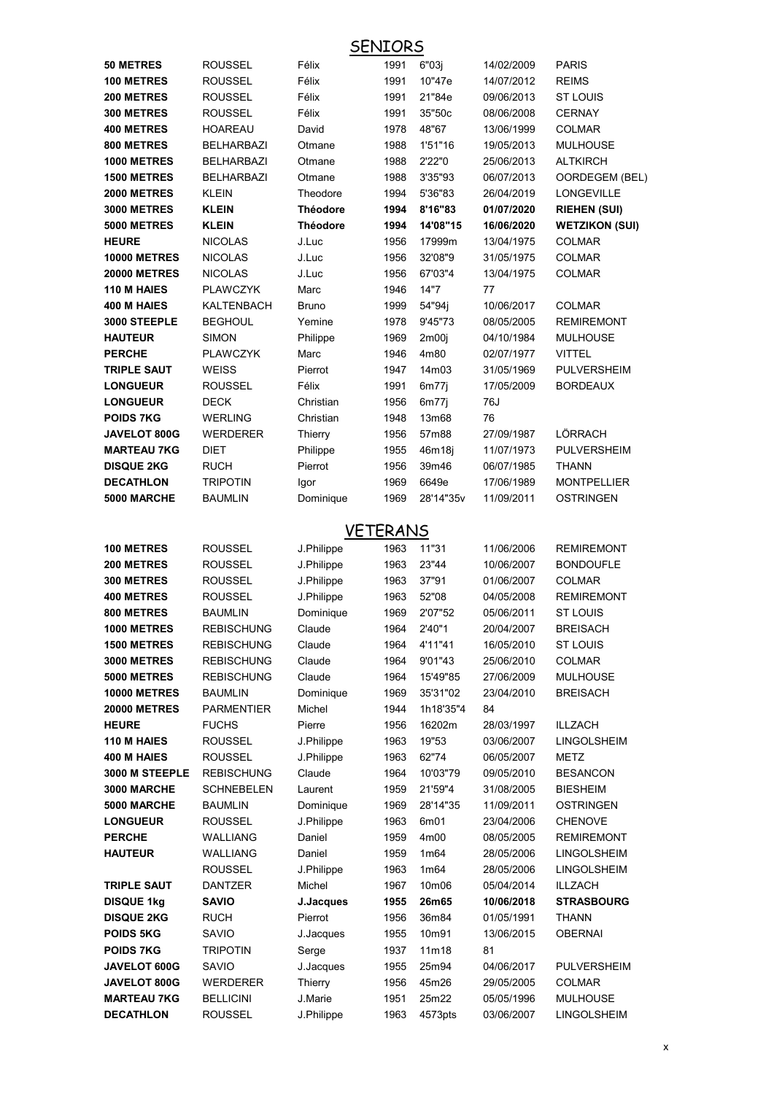|                                            | <b>SENIORS</b>                      |                     |              |                       |                          |                              |  |  |
|--------------------------------------------|-------------------------------------|---------------------|--------------|-----------------------|--------------------------|------------------------------|--|--|
| <b>50 METRES</b>                           | <b>ROUSSEL</b>                      | Félix               | 1991         | 6"03j                 | 14/02/2009               | <b>PARIS</b>                 |  |  |
| 100 METRES                                 | <b>ROUSSEL</b>                      | Félix               | 1991         | 10"47e                | 14/07/2012               | <b>REIMS</b>                 |  |  |
| 200 METRES                                 | <b>ROUSSEL</b>                      | Félix               | 1991         | 21"84e                | 09/06/2013               | <b>ST LOUIS</b>              |  |  |
| 300 METRES                                 | <b>ROUSSEL</b>                      | Félix               | 1991         | 35"50c                | 08/06/2008               | <b>CERNAY</b>                |  |  |
| <b>400 METRES</b>                          | <b>HOAREAU</b>                      | David               | 1978         | 48"67                 | 13/06/1999               | <b>COLMAR</b>                |  |  |
| 800 METRES                                 | <b>BELHARBAZI</b>                   | Otmane              | 1988         | 1'51"16               | 19/05/2013               | <b>MULHOUSE</b>              |  |  |
| 1000 METRES                                | <b>BELHARBAZI</b>                   | Otmane              | 1988         | 2'22"0                | 25/06/2013               | <b>ALTKIRCH</b>              |  |  |
| <b>1500 METRES</b>                         | <b>BELHARBAZI</b>                   | Otmane              | 1988         | 3'35"93               | 06/07/2013               | OORDEGEM (BEL)               |  |  |
| <b>2000 METRES</b>                         | <b>KLEIN</b>                        | Theodore            | 1994         | 5'36"83               | 26/04/2019               | <b>LONGEVILLE</b>            |  |  |
| <b>3000 METRES</b>                         | <b>KLEIN</b>                        | <b>Théodore</b>     | 1994         | 8'16"83               | 01/07/2020               | <b>RIEHEN (SUI)</b>          |  |  |
| <b>5000 METRES</b>                         | <b>KLEIN</b>                        | <b>Théodore</b>     | 1994         | 14'08"15              | 16/06/2020               | <b>WETZIKON (SUI)</b>        |  |  |
| <b>HEURE</b>                               | <b>NICOLAS</b>                      | J.Luc               | 1956         | 17999m                | 13/04/1975               | <b>COLMAR</b>                |  |  |
| <b>10000 METRES</b>                        | <b>NICOLAS</b>                      | J.Luc               | 1956         | 32'08"9               | 31/05/1975               | <b>COLMAR</b>                |  |  |
| <b>20000 METRES</b>                        | <b>NICOLAS</b>                      | J.Luc               | 1956         | 67'03"4               | 13/04/1975               | <b>COLMAR</b>                |  |  |
| 110 M HAIES                                | <b>PLAWCZYK</b>                     | Marc                | 1946         | 14"7                  | 77                       |                              |  |  |
| 400 M HAIES                                | KALTENBACH                          | <b>Bruno</b>        | 1999         | 54"94j                | 10/06/2017               | <b>COLMAR</b>                |  |  |
| 3000 STEEPLE                               | <b>BEGHOUL</b>                      | Yemine              | 1978         | 9'45"73               | 08/05/2005               | <b>REMIREMONT</b>            |  |  |
| <b>HAUTEUR</b>                             | <b>SIMON</b>                        | Philippe            | 1969         | 2m00i                 | 04/10/1984               | <b>MULHOUSE</b>              |  |  |
| <b>PERCHE</b><br><b>TRIPLE SAUT</b>        | <b>PLAWCZYK</b><br><b>WEISS</b>     | Marc<br>Pierrot     | 1946<br>1947 | 4m80<br>14m03         | 02/07/1977<br>31/05/1969 | VITTEL<br><b>PULVERSHEIM</b> |  |  |
| <b>LONGUEUR</b>                            | <b>ROUSSEL</b>                      | Félix               | 1991         | 6m77j                 | 17/05/2009               | <b>BORDEAUX</b>              |  |  |
| <b>LONGUEUR</b>                            | DECK                                | Christian           | 1956         | 6m77j                 | 76J                      |                              |  |  |
| <b>POIDS 7KG</b>                           | <b>WERLING</b>                      | Christian           | 1948         | 13m68                 | 76                       |                              |  |  |
| <b>JAVELOT 800G</b>                        | <b>WERDERER</b>                     | Thierry             | 1956         | 57m88                 | 27/09/1987               | LÖRRACH                      |  |  |
| <b>MARTEAU 7KG</b>                         | DIET                                | Philippe            | 1955         | 46m18j                | 11/07/1973               | <b>PULVERSHEIM</b>           |  |  |
| <b>DISQUE 2KG</b>                          | <b>RUCH</b>                         | Pierrot             | 1956         | 39m46                 | 06/07/1985               | THANN                        |  |  |
| <b>DECATHLON</b>                           | <b>TRIPOTIN</b>                     | Igor                | 1969         | 6649e                 | 17/06/1989               | <b>MONTPELLIER</b>           |  |  |
| 5000 MARCHE                                | <b>BAUMLIN</b>                      | Dominique           | 1969         | 28'14"35v             | 11/09/2011               | OSTRINGEN                    |  |  |
|                                            |                                     |                     |              |                       |                          |                              |  |  |
|                                            |                                     | <b>VETERANS</b>     |              |                       |                          |                              |  |  |
| <b>100 METRES</b>                          | ROUSSEL                             | J.Philippe          | 1963         | 11"31                 | 11/06/2006               | <b>REMIREMONT</b>            |  |  |
| 200 METRES                                 | <b>ROUSSEL</b>                      | J.Philippe          | 1963         | 23"44                 | 10/06/2007               | <b>BONDOUFLE</b>             |  |  |
| <b>300 METRES</b>                          | <b>ROUSSEL</b>                      | J.Philippe          | 1963         | 37"91                 | 01/06/2007               | <b>COLMAR</b>                |  |  |
| <b>400 METRES</b>                          | <b>ROUSSEL</b>                      | J.Philippe          | 1963         | 52"08                 | 04/05/2008               | <b>REMIREMONT</b>            |  |  |
| 800 METRES                                 | BAUMLIN                             | Dominique           | 1969         | 2'07"52               | 05/06/2011               | ST LOUIS                     |  |  |
| 1000 METRES                                | <b>REBISCHUNG</b>                   | Claude              | 1964         | 2'40"1                | 20/04/2007               | <b>BREISACH</b>              |  |  |
| <b>1500 METRES</b>                         | <b>REBISCHUNG</b>                   | Claude              | 1964         | 4'11"41               | 16/05/2010               | <b>ST LOUIS</b>              |  |  |
| <b>3000 METRES</b>                         | <b>REBISCHUNG</b>                   | Claude              | 1964         | 9'01"43               | 25/06/2010               | <b>COLMAR</b>                |  |  |
| <b>5000 METRES</b>                         | <b>REBISCHUNG</b>                   | Claude              | 1964         | 15'49"85              | 27/06/2009               | <b>MULHOUSE</b>              |  |  |
| <b>10000 METRES</b><br><b>20000 METRES</b> | <b>BAUMLIN</b><br><b>PARMENTIER</b> | Dominique<br>Michel | 1969<br>1944 | 35'31"02<br>1h18'35"4 | 23/04/2010<br>84         | BREISACH                     |  |  |
| <b>HEURE</b>                               | <b>FUCHS</b>                        | Pierre              | 1956         | 16202m                | 28/03/1997               | ILLZACH                      |  |  |
| 110 M HAIES                                | ROUSSEL                             | J.Philippe          | 1963         | 19"53                 | 03/06/2007               | LINGOLSHEIM                  |  |  |
| 400 M HAIES                                | ROUSSEL                             | J.Philippe          | 1963         | 62"74                 | 06/05/2007               | METZ                         |  |  |
| 3000 M STEEPLE                             | <b>REBISCHUNG</b>                   | Claude              | 1964         | 10'03"79              | 09/05/2010               | <b>BESANCON</b>              |  |  |
| 3000 MARCHE                                | SCHNEBELEN                          | Laurent             | 1959         | 21'59"4               | 31/08/2005               | <b>BIESHEIM</b>              |  |  |
| 5000 MARCHE                                | <b>BAUMLIN</b>                      | Dominique           | 1969         | 28'14"35              | 11/09/2011               | <b>OSTRINGEN</b>             |  |  |
| <b>LONGUEUR</b>                            | ROUSSEL                             | J.Philippe          | 1963         | 6m01                  | 23/04/2006               | <b>CHENOVE</b>               |  |  |
| <b>PERCHE</b>                              | WALLIANG                            | Daniel              | 1959         | 4m00                  | 08/05/2005               | <b>REMIREMONT</b>            |  |  |
| <b>HAUTEUR</b>                             | WALLIANG                            | Daniel              | 1959         | 1m64                  | 28/05/2006               | LINGOLSHEIM                  |  |  |
|                                            | ROUSSEL                             | J.Philippe          | 1963         | 1m64                  | 28/05/2006               | LINGOLSHEIM                  |  |  |
| <b>TRIPLE SAUT</b>                         | DANTZER                             | Michel              | 1967         | 10m06                 | 05/04/2014               | ILLZACH                      |  |  |
| <b>DISQUE 1kg</b>                          | <b>SAVIO</b>                        | J.Jacques           | 1955         | 26m65                 | 10/06/2018               | <b>STRASBOURG</b>            |  |  |
| <b>DISQUE 2KG</b>                          | <b>RUCH</b>                         | Pierrot             | 1956         | 36m84                 | 01/05/1991               | <b>THANN</b>                 |  |  |
| <b>POIDS 5KG</b>                           | SAVIO                               | J.Jacques           | 1955         | 10m91                 | 13/06/2015               | <b>OBERNAI</b>               |  |  |
| <b>POIDS 7KG</b>                           | <b>TRIPOTIN</b>                     | Serge               | 1937         | 11m18                 | 81                       |                              |  |  |
| JAVELOT 600G                               | SAVIO                               | J.Jacques           | 1955         | 25m94                 | 04/06/2017               | PULVERSHEIM                  |  |  |
| JAVELOT 800G                               | <b>WERDERER</b>                     | Thierry             | 1956         | 45m26                 | 29/05/2005               | COLMAR                       |  |  |
| <b>MARTEAU 7KG</b>                         | <b>BELLICINI</b>                    | J.Marie             | 1951         | 25m22                 | 05/05/1996               | <b>MULHOUSE</b>              |  |  |

**DECATHLON** 

**ROUSSEL** 

J.Philippe

1963 4573pts

03/06/2007

**LINGOLSHEIM**